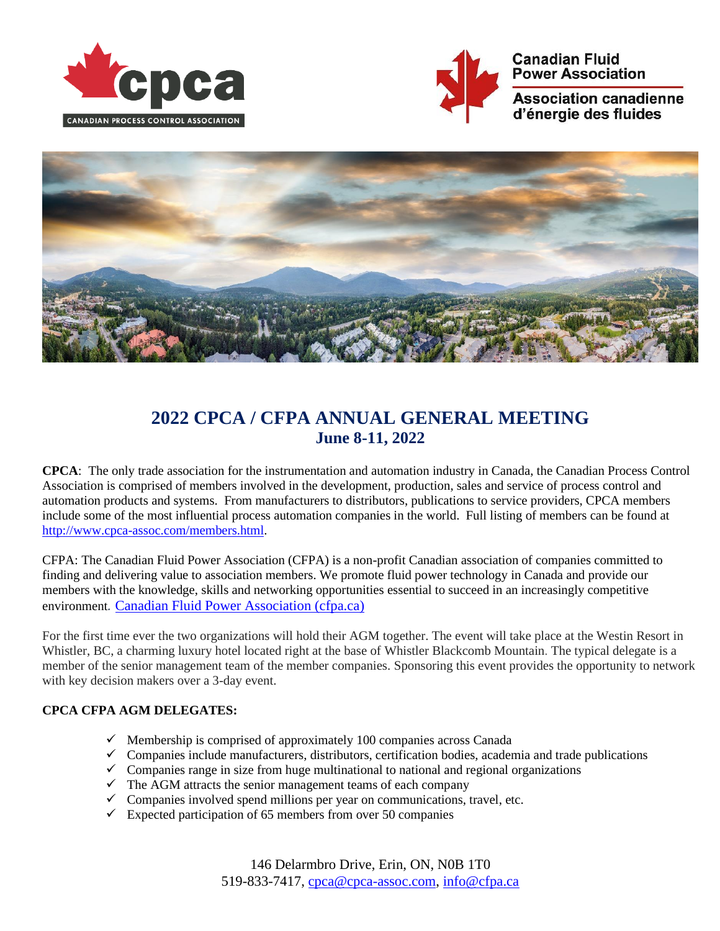





# **2022 CPCA / CFPA ANNUAL GENERAL MEETING June 8-11, 2022**

**CPCA**: The only trade association for the instrumentation and automation industry in Canada, the Canadian Process Control Association is comprised of members involved in the development, production, sales and service of process control and automation products and systems. From manufacturers to distributors, publications to service providers, CPCA members include some of the most influential process automation companies in the world. Full listing of members can be found at [http://www.cpca-assoc.com/members.html.](http://www.cpca-assoc.com/members.html)

CFPA: The Canadian Fluid Power Association (CFPA) is a non-profit Canadian association of companies committed to finding and delivering value to association members. We promote fluid power technology in Canada and provide our members with the knowledge, skills and networking opportunities essential to succeed in an increasingly competitive environment*.* [Canadian Fluid Power Association \(cfpa.ca\)](https://cfpa.ca/)

For the first time ever the two organizations will hold their AGM together. The event will take place at the Westin Resort in Whistler, BC, a charming luxury hotel located right at the base of Whistler Blackcomb Mountain. The typical delegate is a member of the senior management team of the member companies. Sponsoring this event provides the opportunity to network with key decision makers over a 3-day event.

## **CPCA CFPA AGM DELEGATES:**

- $\checkmark$  Membership is comprised of approximately 100 companies across Canada
- ✓ Companies include manufacturers, distributors, certification bodies, academia and trade publications
- $\checkmark$  Companies range in size from huge multinational to national and regional organizations
- $\checkmark$  The AGM attracts the senior management teams of each company
- $\checkmark$  Companies involved spend millions per year on communications, travel, etc.
- $\checkmark$  Expected participation of 65 members from over 50 companies